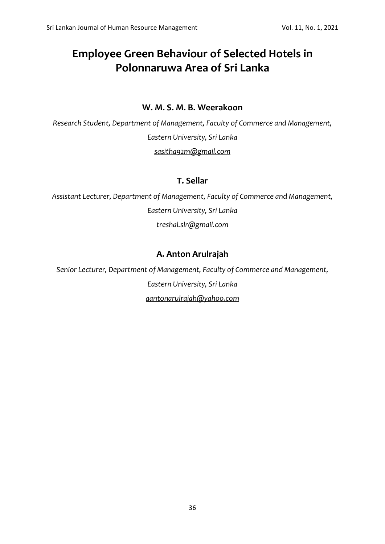# **Employee Green Behaviour of Selected Hotels in Polonnaruwa Area of Sri Lanka**

### **W. M. S. M. B. Weerakoon**

*Research Student, Department of Management, Faculty of Commerce and Management, Eastern University, Sri Lanka [sasitha92m@gmail.com](mailto:sasitha92m@gmail.com)*

### **T. Sellar**

*Assistant Lecturer, Department of Management, Faculty of Commerce and Management, Eastern University, Sri Lanka [treshal.slr@gmail.com](mailto:treshal.slr@gmail.com)*

### **A. Anton Arulrajah**

*Senior Lecturer, Department of Management, Faculty of Commerce and Management, Eastern University, Sri Lanka [aantonarulrajah@yahoo.com](mailto:aantonarulrajah@yahoo.com)*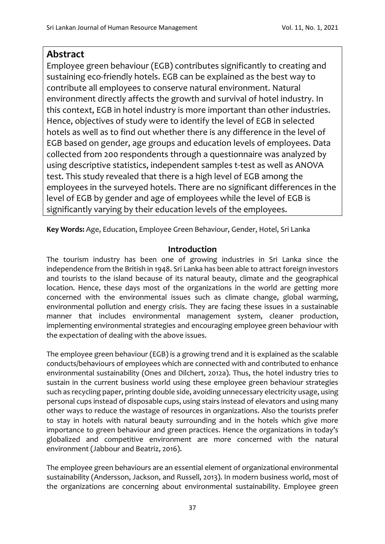## **Abstract**

Employee green behaviour (EGB) contributes significantly to creating and sustaining eco-friendly hotels. EGB can be explained as the best way to contribute all employees to conserve natural environment. Natural environment directly affects the growth and survival of hotel industry. In this context, EGB in hotel industry is more important than other industries. Hence, objectives of study were to identify the level of EGB in selected hotels as well as to find out whether there is any difference in the level of EGB based on gender, age groups and education levels of employees. Data collected from 200 respondents through a questionnaire was analyzed by using descriptive statistics, independent samples t-test as well as ANOVA test. This study revealed that there is a high level of EGB among the employees in the surveyed hotels. There are no significant differences in the level of EGB by gender and age of employees while the level of EGB is significantly varying by their education levels of the employees.

**Key Words:** Age, Education, Employee Green Behaviour, Gender, Hotel, Sri Lanka

### **Introduction**

The tourism industry has been one of growing industries in Sri Lanka since the independence from the British in 1948. Sri Lanka has been able to attract foreign investors and tourists to the island because of its natural beauty, climate and the geographical location. Hence, these days most of the organizations in the world are getting more concerned with the environmental issues such as climate change, global warming, environmental pollution and energy crisis. They are facing these issues in a sustainable manner that includes environmental management system, cleaner production, implementing environmental strategies and encouraging employee green behaviour with the expectation of dealing with the above issues.

The employee green behaviour (EGB) is a growing trend and it is explained as the scalable conducts/behaviours of employees which are connected with and contributed to enhance environmental sustainability (Ones and Dilchert, 2012a). Thus, the hotel industry tries to sustain in the current business world using these employee green behaviour strategies such as recycling paper, printing double side, avoiding unnecessary electricity usage, using personal cups instead of disposable cups, using stairs instead of elevators and using many other ways to reduce the wastage of resources in organizations. Also the tourists prefer to stay in hotels with natural beauty surrounding and in the hotels which give more importance to green behaviour and green practices. Hence the organizations in today's globalized and competitive environment are more concerned with the natural environment (Jabbour and Beatriz, 2016).

The employee green behaviours are an essential element of organizational environmental sustainability (Andersson, Jackson, and Russell, 2013). In modern business world, most of the organizations are concerning about environmental sustainability. Employee green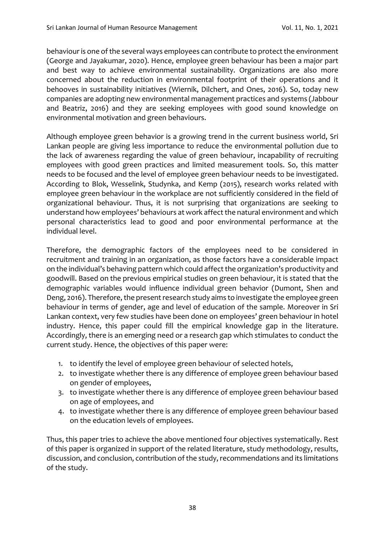behaviour is one of the several ways employees can contribute to protect the environment (George and Jayakumar, 2020). Hence, employee green behaviour has been a major part and best way to achieve environmental sustainability. Organizations are also more concerned about the reduction in environmental footprint of their operations and it behooves in sustainability initiatives (Wiernik, Dilchert, and Ones, 2016). So, today new companies are adopting new environmental management practices and systems (Jabbour and Beatriz, 2016) and they are seeking employees with good sound knowledge on environmental motivation and green behaviours.

Although employee green behavior is a growing trend in the current business world, Sri Lankan people are giving less importance to reduce the environmental pollution due to the lack of awareness regarding the value of green behaviour, incapability of recruiting employees with good green practices and limited measurement tools. So, this matter needs to be focused and the level of employee green behaviour needs to be investigated. According to Blok, Wesselink, Studynka, and Kemp (2015), research works related with employee green behaviour in the workplace are not sufficiently considered in the field of organizational behaviour. Thus, it is not surprising that organizations are seeking to understand how employees' behaviours at work affect the natural environment and which personal characteristics lead to good and poor environmental performance at the individual level.

Therefore, the demographic factors of the employees need to be considered in recruitment and training in an organization, as those factors have a considerable impact on the individual's behaving pattern which could affect the organization's productivity and goodwill. Based on the previous empirical studies on green behaviour, it is stated that the demographic variables would influence individual green behavior (Dumont, Shen and Deng, 2016). Therefore, the present research study aims to investigate the employee green behaviour in terms of gender, age and level of education of the sample. Moreover in Sri Lankan context, very few studies have been done on employees' green behaviour in hotel industry. Hence, this paper could fill the empirical knowledge gap in the literature. Accordingly, there is an emerging need or a research gap which stimulates to conduct the current study. Hence, the objectives of this paper were:

- 1. to identify the level of employee green behaviour of selected hotels,
- 2. to investigate whether there is any difference of employee green behaviour based on gender of employees,
- 3. to investigate whether there is any difference of employee green behaviour based on age of employees, and
- 4. to investigate whether there is any difference of employee green behaviour based on the education levels of employees.

Thus, this paper tries to achieve the above mentioned four objectives systematically. Rest of this paper is organized in support of the related literature, study methodology, results, discussion, and conclusion, contribution of the study, recommendations and its limitations of the study.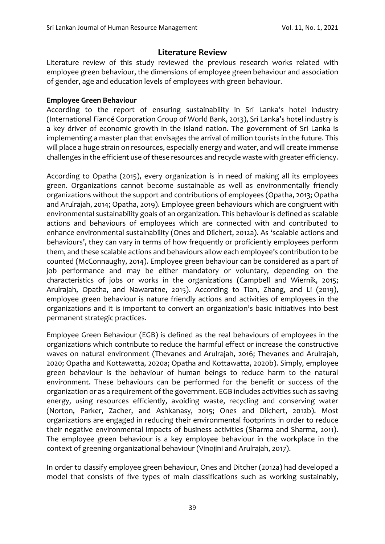### **Literature Review**

Literature review of this study reviewed the previous research works related with employee green behaviour, the dimensions of employee green behaviour and association of gender, age and education levels of employees with green behaviour.

#### **Employee Green Behaviour**

According to the report of ensuring sustainability in Sri Lanka's hotel industry (International Fiancé Corporation Group of World Bank, 2013), Sri Lanka's hotel industry is a key driver of economic growth in the island nation. The government of Sri Lanka is implementing a master plan that envisages the arrival of million tourists in the future. This will place a huge strain on resources, especially energy and water, and will create immense challenges in the efficient use of these resources and recycle waste with greater efficiency.

According to Opatha (2015), every organization is in need of making all its employees green. Organizations cannot become sustainable as well as environmentally friendly organizations without the support and contributions of employees (Opatha, 2013; Opatha and Arulrajah, 2014; Opatha, 2019). Employee green behaviours which are congruent with environmental sustainability goals of an organization. This behaviour is defined as scalable actions and behaviours of employees which are connected with and contributed to enhance environmental sustainability (Ones and Dilchert, 2012a). As 'scalable actions and behaviours', they can vary in terms of how frequently or proficiently employees perform them, and these scalable actions and behaviours allow each employee's contribution to be counted (McConnaughy, 2014). Employee green behaviour can be considered as a part of job performance and may be either mandatory or voluntary, depending on the characteristics of jobs or works in the organizations (Campbell and Wiernik, 2015; Arulrajah, Opatha, and Nawaratne, 2015). According to Tian, Zhang, and Li (2019), employee green behaviour is nature friendly actions and activities of employees in the organizations and it is important to convert an organization's basic initiatives into best permanent strategic practices.

Employee Green Behaviour (EGB) is defined as the real behaviours of employees in the organizations which contribute to reduce the harmful effect or increase the constructive waves on natural environment (Thevanes and Arulrajah, 2016; Thevanes and Arulrajah, 2020; Opatha and Kottawatta, 2020a; Opatha and Kottawatta, 2020b). Simply, employee green behaviour is the behaviour of human beings to reduce harm to the natural environment. These behaviours can be performed for the benefit or success of the organization or as a requirement of the government. EGB includes activities such as saving energy, using resources efficiently, avoiding waste, recycling and conserving water (Norton, Parker, Zacher, and Ashkanasy, 2015; Ones and Dilchert, 2012b). Most organizations are engaged in reducing their environmental footprints in order to reduce their negative environmental impacts of business activities (Sharma and Sharma, 2011). The employee green behaviour is a key employee behaviour in the workplace in the context of greening organizational behaviour (Vinojini and Arulrajah, 2017).

In order to classify employee green behaviour, Ones and Ditcher (2012a) had developed a model that consists of five types of main classifications such as working sustainably,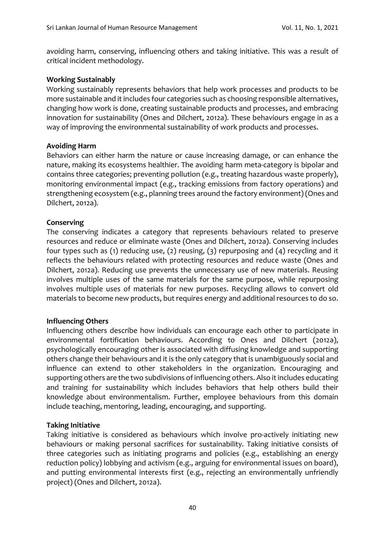avoiding harm, conserving, influencing others and taking initiative. This was a result of critical incident methodology.

#### **Working Sustainably**

Working sustainably represents behaviors that help work processes and products to be more sustainable and it includes four categories such as choosing responsible alternatives, changing how work is done, creating sustainable products and processes, and embracing innovation for sustainability (Ones and Dilchert, 2012a). These behaviours engage in as a way of improving the environmental sustainability of work products and processes.

#### **Avoiding Harm**

Behaviors can either harm the nature or cause increasing damage, or can enhance the nature, making its ecosystems healthier. The avoiding harm meta-category is bipolar and contains three categories; preventing pollution (e.g., treating hazardous waste properly), monitoring environmental impact (e.g., tracking emissions from factory operations) and strengthening ecosystem (e.g., planning trees around the factory environment) (Ones and Dilchert, 2012a).

### **Conserving**

The conserving indicates a category that represents behaviours related to preserve resources and reduce or eliminate waste (Ones and Dilchert, 2012a). Conserving includes four types such as (1) reducing use, (2) reusing, (3) repurposing and (4) recycling and it reflects the behaviours related with protecting resources and reduce waste (Ones and Dilchert, 2012a). Reducing use prevents the unnecessary use of new materials. Reusing involves multiple uses of the same materials for the same purpose, while repurposing involves multiple uses of materials for new purposes. Recycling allows to convert old materials to become new products, but requires energy and additional resources to do so.

### **Influencing Others**

Influencing others describe how individuals can encourage each other to participate in environmental fortification behaviours. According to Ones and Dilchert (2012a), psychologically encouraging other is associated with diffusing knowledge and supporting others change their behaviours and it is the only category that is unambiguously social and influence can extend to other stakeholders in the organization. Encouraging and supporting others are the two subdivisions of influencing others. Also it includes educating and training for sustainability which includes behaviors that help others build their knowledge about environmentalism. Further, employee behaviours from this domain include teaching, mentoring, leading, encouraging, and supporting.

### **Taking Initiative**

Taking initiative is considered as behaviours which involve pro-actively initiating new behaviours or making personal sacrifices for sustainability. Taking initiative consists of three categories such as initiating programs and policies (e.g., establishing an energy reduction policy) lobbying and activism (e.g., arguing for environmental issues on board), and putting environmental interests first (e.g., rejecting an environmentally unfriendly project) (Ones and Dilchert, 2012a).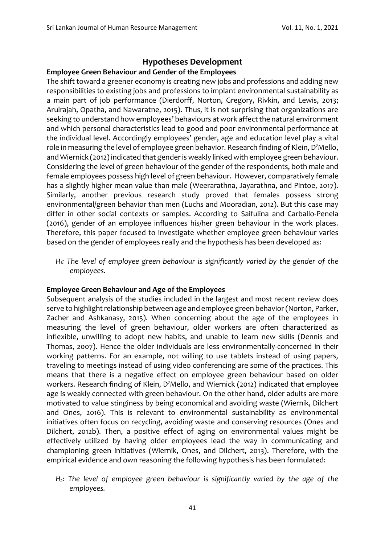### **Hypotheses Development**

#### **Employee Green Behaviour and Gender of the Employees**

The shift toward a greener economy is creating new jobs and professions and adding new responsibilities to existing jobs and professions to implant environmental sustainability as a main part of job performance (Dierdorff, Norton, Gregory, Rivkin, and Lewis, 2013; Arulrajah, Opatha, and Nawaratne, 2015). Thus, it is not surprising that organizations are seeking to understand how employees' behaviours at work affect the natural environment and which personal characteristics lead to good and poor environmental performance at the individual level. Accordingly employees' gender, age and education level play a vital role in measuring the level of employee green behavior. Research finding of Klein, D'Mello, and Wiernick (2012) indicated that gender is weakly linked with employee green behaviour. Considering the level of green behaviour of the gender of the respondents, both male and female employees possess high level of green behaviour. However, comparatively female has a slightly higher mean value than male (Weerarathna, Jayarathna, and Pintoe, 2017). Similarly, another previous research study proved that females possess strong environmental/green behavior than men (Luchs and Mooradian, 2012). But this case may differ in other social contexts or samples. According to Saifulina and Carballo-Penela (2016), gender of an employee influences his/her green behaviour in the work places. Therefore, this paper focused to investigate whether employee green behaviour varies based on the gender of employees really and the hypothesis has been developed as:

*H1: The level of employee green behaviour is significantly varied by the gender of the employees.*

#### **Employee Green Behaviour and Age of the Employees**

Subsequent analysis of the studies included in the largest and most recent review does serve to highlight relationship between age and employee green behavior (Norton, Parker, Zacher and Ashkanasy, 2015). When concerning about the age of the employees in measuring the level of green behaviour, older workers are often characterized as inflexible, unwilling to adopt new habits, and unable to learn new skills (Dennis and Thomas, 2007). Hence the older individuals are less environmentally-concerned in their working patterns. For an example, not willing to use tablets instead of using papers, traveling to meetings instead of using video conferencing are some of the practices. This means that there is a negative effect on employee green behaviour based on older workers. Research finding of Klein, D'Mello, and Wiernick (2012) indicated that employee age is weakly connected with green behaviour. On the other hand, older adults are more motivated to value stinginess by being economical and avoiding waste (Wiernik, Dilchert and Ones, 2016). This is relevant to environmental sustainability as environmental initiatives often focus on recycling, avoiding waste and conserving resources (Ones and Dilchert, 2012b). Then, a positive effect of aging on environmental values might be effectively utilized by having older employees lead the way in communicating and championing green initiatives (Wiernik, Ones, and Dilchert, 2013). Therefore, with the empirical evidence and own reasoning the following hypothesis has been formulated:

*H2: The level of employee green behaviour is significantly varied by the age of the employees.*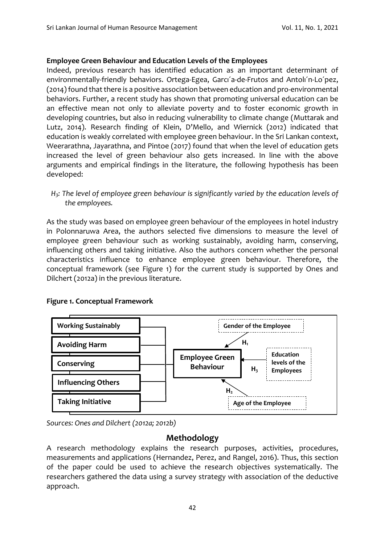### **Employee Green Behaviour and Education Levels of the Employees**

Indeed, previous research has identified education as an important determinant of environmentally-friendly behaviors. Ortega-Egea, Garcı´a-de-Frutos and Antolı´n-Lo´pez, (2014) found that there is a positive association between education and pro-environmental behaviors. Further, a recent study has shown that promoting universal education can be an effective mean not only to alleviate poverty and to foster economic growth in developing countries, but also in reducing vulnerability to climate change (Muttarak and Lutz, 2014). Research finding of Klein, D'Mello, and Wiernick (2012) indicated that education is weakly correlated with employee green behaviour. In the Sri Lankan context, Weerarathna, Jayarathna, and Pintoe (2017) found that when the level of education gets increased the level of green behaviour also gets increased. In line with the above arguments and empirical findings in the literature, the following hypothesis has been developed:

*H3: The level of employee green behaviour is significantly varied by the education levels of the employees.*

As the study was based on employee green behaviour of the employees in hotel industry in Polonnaruwa Area, the authors selected five dimensions to measure the level of employee green behaviour such as working sustainably, avoiding harm, conserving, influencing others and taking initiative. Also the authors concern whether the personal characteristics influence to enhance employee green behaviour. Therefore, the conceptual framework (see Figure 1) for the current study is supported by Ones and Dilchert (2012a) in the previous literature.





*Sources: Ones and Dilchert (2012a; 2012b)*

### **Methodology**

A research methodology explains the research purposes, activities, procedures, measurements and applications (Hernandez, Perez, and Rangel, 2016). Thus, this section of the paper could be used to achieve the research objectives systematically. The researchers gathered the data using a survey strategy with association of the deductive approach.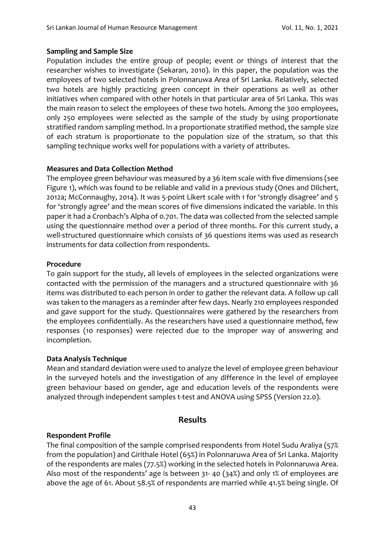#### **Sampling and Sample Size**

Population includes the entire group of people; event or things of interest that the researcher wishes to investigate (Sekaran, 2010). In this paper, the population was the employees of two selected hotels in Polonnaruwa Area of Sri Lanka. Relatively, selected two hotels are highly practicing green concept in their operations as well as other initiatives when compared with other hotels in that particular area of Sri Lanka. This was the main reason to select the employees of these two hotels. Among the 300 employees, only 250 employees were selected as the sample of the study by using proportionate stratified random sampling method. In a proportionate stratified method, the sample size of each stratum is proportionate to the population size of the stratum, so that this sampling technique works well for populations with a variety of attributes.

### **Measures and Data Collection Method**

The employee green behaviour was measured by a 36 item scale with five dimensions (see Figure 1), which was found to be reliable and valid in a previous study (Ones and Dilchert, 2012a; McConnaughy, 2014). It was 5-point Likert scale with 1 for 'strongly disagree' and 5 for 'strongly agree' and the mean scores of five dimensions indicated the variable. In this paper it had a Cronbach's Alpha of 0.701. The data was collected from the selected sample using the questionnaire method over a period of three months. For this current study, a well-structured questionnaire which consists of 36 questions items was used as research instruments for data collection from respondents.

#### **Procedure**

To gain support for the study, all levels of employees in the selected organizations were contacted with the permission of the managers and a structured questionnaire with 36 items was distributed to each person in order to gather the relevant data. A follow up call was taken to the managers as a reminder after few days. Nearly 210 employees responded and gave support for the study. Questionnaires were gathered by the researchers from the employees confidentially. As the researchers have used a questionnaire method, few responses (10 responses) were rejected due to the improper way of answering and incompletion.

#### **Data Analysis Technique**

Mean and standard deviation were used to analyze the level of employee green behaviour in the surveyed hotels and the investigation of any difference in the level of employee green behaviour based on gender, age and education levels of the respondents were analyzed through independent samples t-test and ANOVA using SPSS (Version 22.0).

### **Results**

#### **Respondent Profile**

The final composition of the sample comprised respondents from Hotel Sudu Araliya (57% from the population) and Girithale Hotel (65%) in Polonnaruwa Area of Sri Lanka. Majority of the respondents are males (77.5%) working in the selected hotels in Polonnaruwa Area. Also most of the respondents' age is between 31- 40 (34%) and only 1% of employees are above the age of 61. About 58.5% of respondents are married while 41.5% being single. Of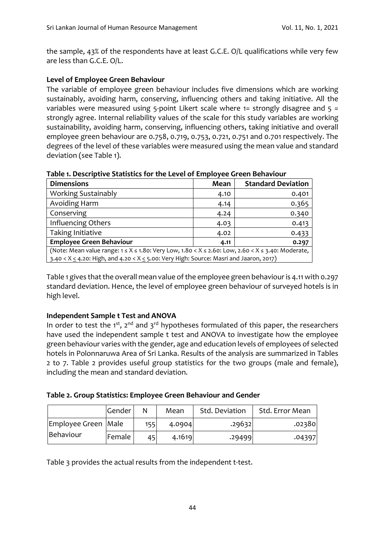the sample, 43% of the respondents have at least G.C.E. O/L qualifications while very few are less than G.C.E. O/L.

### **Level of Employee Green Behaviour**

The variable of employee green behaviour includes five dimensions which are working sustainably, avoiding harm, conserving, influencing others and taking initiative. All the variables were measured using 5-point Likert scale where  $1=$  strongly disagree and  $5=$ strongly agree. Internal reliability values of the scale for this study variables are working sustainability, avoiding harm, conserving, influencing others, taking initiative and overall employee green behaviour are 0.758, 0.719, 0.753, 0.721, 0.751 and 0.701 respectively. The degrees of the level of these variables were measured using the mean value and standard deviation (see Table 1).

**Table 1. Descriptive Statistics for the Level of Employee Green Behaviour**

| <b>Dimensions</b>                                                                                                  | Mean                                                                                             | <b>Standard Deviation</b> |  |  |  |  |
|--------------------------------------------------------------------------------------------------------------------|--------------------------------------------------------------------------------------------------|---------------------------|--|--|--|--|
| <b>Working Sustainably</b>                                                                                         | 4.10                                                                                             | 0.401                     |  |  |  |  |
| Avoiding Harm                                                                                                      | 4.14                                                                                             | 0.365                     |  |  |  |  |
| Conserving                                                                                                         | 4.24                                                                                             | 0.340                     |  |  |  |  |
| Influencing Others                                                                                                 | 4.03                                                                                             | 0.413                     |  |  |  |  |
| Taking Initiative                                                                                                  | 4.02                                                                                             | 0.433                     |  |  |  |  |
| <b>Employee Green Behaviour</b>                                                                                    | 4.11                                                                                             | 0.297                     |  |  |  |  |
| (Note: Mean value range: $1 \le X \le 1.80$ : Very Low, $1.80 < X \le 2.60$ : Low, $2.60 < X \le 3.40$ : Moderate, |                                                                                                  |                           |  |  |  |  |
|                                                                                                                    | 3.40 < $X \le 4.20$ : High, and $4.20 < X \le 5.00$ : Very High: Source: Masri and Jaaron, 2017) |                           |  |  |  |  |

Table 1 gives that the overall mean value of the employee green behaviour is 4.11 with 0.297 standard deviation. Hence, the level of employee green behaviour of surveyed hotels is in high level.

### **Independent Sample t Test and ANOVA**

In order to test the 1<sup>st</sup>, 2<sup>nd</sup> and 3<sup>rd</sup> hypotheses formulated of this paper, the researchers have used the independent sample t test and ANOVA to investigate how the employee green behaviour varies with the gender, age and education levels of employees of selected hotels in Polonnaruwa Area of Sri Lanka. Results of the analysis are summarized in Tables 2 to 7. Table 2 provides useful group statistics for the two groups (male and female), including the mean and standard deviation.

| Table 2. Group Statistics: Employee Green Behaviour and Gender |  |
|----------------------------------------------------------------|--|
|----------------------------------------------------------------|--|

|                     | Gender | Ν   | Mean   | Std. Deviation | Std. Error Mean |
|---------------------|--------|-----|--------|----------------|-----------------|
| Employee Green Male |        | 155 | 4.0904 | .29632         | .02380          |
| Behaviour           | Female | 45  | 4.1619 | .29499         | .04397          |

Table 3 provides the actual results from the independent t-test.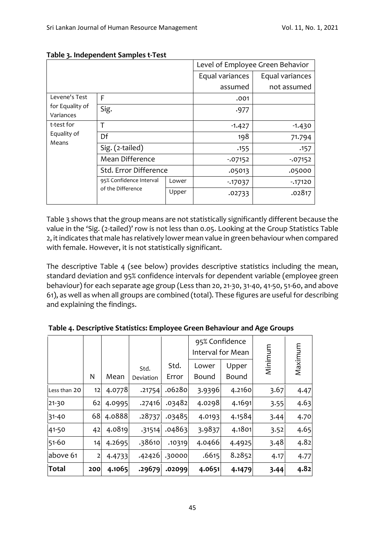|                              |                                              |       | Level of Employee Green Behavior |                 |  |  |
|------------------------------|----------------------------------------------|-------|----------------------------------|-----------------|--|--|
|                              |                                              |       |                                  | Equal variances |  |  |
|                              |                                              |       | assumed                          | not assumed     |  |  |
| Levene's Test                | F                                            |       | .001                             |                 |  |  |
| for Equality of<br>Variances | Sig.                                         |       | .977                             |                 |  |  |
| t-test for                   | т                                            |       | $-1.427$                         | $-1.430$        |  |  |
| Equality of<br>Means         | Df                                           |       | 198                              | 71.794          |  |  |
|                              | Sig. (2-tailed)                              |       | .155                             | .157            |  |  |
|                              | Mean Difference                              |       | $-07152$                         | $-07152$        |  |  |
|                              | Std. Error Difference                        |       | .05013                           | .05000          |  |  |
|                              | 95% Confidence Interval<br>of the Difference | Lower | $-17037$                         | $-17120$        |  |  |
|                              |                                              | Upper | .02733                           | .02817          |  |  |

#### **Table 3. Independent Samples t-Test**

Table 3 shows that the group means are not statistically significantly different because the value in the 'Sig. (2-tailed)' row is not less than 0.05. Looking at the Group Statistics Table 2, it indicates that male has relatively lower mean value in green behaviour when compared with female. However, it is not statistically significant.

The descriptive Table 4 (see below) provides descriptive statistics including the mean, standard deviation and 95% confidence intervals for dependent variable (employee green behaviour) for each separate age group (Less than 20, 21-30, 31-40, 41-50, 51-60, and above 61), as well as when all groups are combined (total). These figures are useful for describing and explaining the findings.

|              |                |        |           |        | 95% Confidence<br>Interval for Mean |              | Minimum | Maximum |
|--------------|----------------|--------|-----------|--------|-------------------------------------|--------------|---------|---------|
|              |                |        | Std.      | Std.   | Lower                               | Upper        |         |         |
|              | N              | Mean   | Deviation | Error  | Bound                               | <b>Bound</b> |         |         |
| Less than 20 | 12             | 4.0778 | .21754    | .06280 | 3.9396                              | 4.2160       | 3.67    | 4.47    |
| $21 - 30$    | 62             | 4.0995 | .27416    | .03482 | 4.0298                              | 4.1691       | 3.55    | 4.63    |
| $31 - 40$    | 68             | 4.0888 | .28737    | .03485 | 4.0193                              | 4.1584       | 3.44    | 4.70    |
| 41-50        | 42             | 4.0819 | .31514    | .04863 | 3.9837                              | 4.1801       | 3.52    | 4.65    |
| $51 - 60$    | 14             | 4.2695 | 38610     | .10319 | 4.0466                              | 4.4925       | 3.48    | 4.82    |
| above 61     | $\overline{2}$ | 4.4733 | .42426    | .30000 | .6615                               | 8.2852       | 4.17    | 4.77    |
| <b>Total</b> | 200            | 4.1065 | .29679    | .02099 | 4.0651                              | 4.1479       | 3.44    | 4.82    |

**Table 4. Descriptive Statistics: Employee Green Behaviour and Age Groups**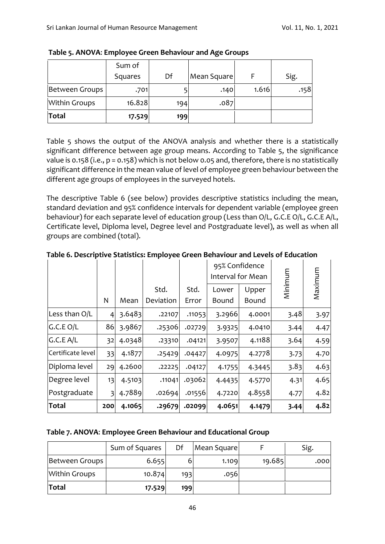|                      | Sum of  |     |             |       |      |
|----------------------|---------|-----|-------------|-------|------|
|                      | Squares | Df  | Mean Square |       | Sig. |
| Between Groups       | .701    |     | .140        | 1.616 | .158 |
| <b>Within Groups</b> | 16.828  | 194 | .087        |       |      |
| Total                | 17.529  | 199 |             |       |      |

**Table 5. ANOVA**: **Employee Green Behaviour and Age Groups**

Table 5 shows the output of the ANOVA analysis and whether there is a statistically significant difference between age group means. According to Table 5, the significance value is 0.158 (i.e., p = 0.158) which is not below 0.05 and, therefore, there is no statistically significant difference in the mean value of level of employee green behaviour between the different age groups of employees in the surveyed hotels.

The descriptive Table 6 (see below) provides descriptive statistics including the mean, standard deviation and 95% confidence intervals for dependent variable (employee green behaviour) for each separate level of education group (Less than O/L, G.C.E O/L, G.C.E A/L, Certificate level, Diploma level, Degree level and Postgraduate level), as well as when all groups are combined (total).

**Table 6. Descriptive Statistics: Employee Green Behaviour and Levels of Education**

|                   |                |        |                   |               | 95% Confidence<br>Interval for Mean |                |         |         |
|-------------------|----------------|--------|-------------------|---------------|-------------------------------------|----------------|---------|---------|
|                   | N              | Mean   | Std.<br>Deviation | Std.<br>Error | Lower<br><b>Bound</b>               | Upper<br>Bound | Minimum | Maximum |
| Less than O/L     | 4              | 3.6483 | .22107            | .11053        | 3.2966                              | 4.0001         | 3.48    | 3.97    |
| G.C.E O/L         | 86             | 3.9867 | .25306            | .02729        | 3.9325                              | 4.0410         | 3.44    | 4.47    |
| G.C.E A/L         | 32             | 4.0348 | .23310            | .04121        | 3.9507                              | 4.1188         | 3.64    | 4.59    |
| Certificate level | 33             | 4.1877 | .25429            | .04427        | 4.0975                              | 4.2778         | 3.73    | 4.70    |
| Diploma level     | 29             | 4.2600 | .22225            | .04127        | 4.1755                              | 4.3445         | 3.83    | 4.63    |
| Degree level      | 13             | 4.5103 | .11041            | .03062        | 4.4435                              | 4.5770         | 4.31    | 4.65    |
| Postgraduate      | $\overline{3}$ | 4.7889 | .02694            | .01556        | 4.7220                              | 4.8558         | 4.77    | 4.82    |
| Total             | 200            | 4.1065 | .29679            | .02099        | 4.0651                              | 4.1479         | 3.44    | 4.82    |

| Table 7. ANOVA: Employee Green Behaviour and Educational Group |  |  |  |
|----------------------------------------------------------------|--|--|--|
|                                                                |  |  |  |

|                      | Sum of Squares | Df  | Mean Square |        | Sig. |
|----------------------|----------------|-----|-------------|--------|------|
| Between Groups       | 6.655          |     | 1.109       | 19.685 | .000 |
| <b>Within Groups</b> | 10.874         | 193 | .056        |        |      |
| Total                | 17.529         | 199 |             |        |      |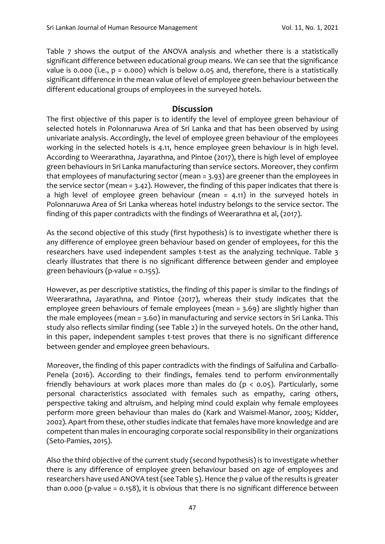Table 7 shows the output of the ANOVA analysis and whether there is a statistically significant difference between educational group means. We can see that the significance value is 0.000 (i.e.,  $p = 0.000$ ) which is below 0.05 and, therefore, there is a statistically significant difference in the mean value of level of employee green behaviour between the different educational groups of employees in the surveyed hotels.

### **Discussion**

The first objective of this paper is to identify the level of employee green behaviour of selected hotels in Polonnaruwa Area of Sri Lanka and that has been observed by using univariate analysis. Accordingly, the level of employee green behaviour of the employees working in the selected hotels is 4.11, hence employee green behaviour is in high level. According to Weerarathna, Jayarathna, and Pintoe (2017), there is high level of employee green behaviours in Sri Lanka manufacturing than service sectors. Moreover, they confirm that employees of manufacturing sector (mean = 3.93) are greener than the employees in the service sector (mean = 3.42). However, the finding of this paper indicates that there is a high level of employee green behaviour (mean = 4.11) in the surveyed hotels in Polonnaruwa Area of Sri Lanka whereas hotel industry belongs to the service sector. The finding of this paper contradicts with the findings of Weerarathna et al, (2017).

As the second objective of this study (first hypothesis) is to investigate whether there is any difference of employee green behaviour based on gender of employees, for this the researchers have used independent samples t-test as the analyzing technique. Table 3 clearly illustrates that there is no significant difference between gender and employee green behaviours (p-value =  $0.155$ ).

However, as per descriptive statistics, the finding of this paper is similar to the findings of Weerarathna, Jayarathna, and Pintoe (2017), whereas their study indicates that the employee green behaviours of female employees (mean = 3.69) are slightly higher than the male employees (mean = 3.60) in manufacturing and service sectors in Sri Lanka. This study also reflects similar finding (see Table 2) in the surveyed hotels. On the other hand, in this paper, independent samples t-test proves that there is no significant difference between gender and employee green behaviours.

Moreover, the finding of this paper contradicts with the findings of Saifulina and Carballo-Penela (2016). According to their findings, females tend to perform environmentally friendly behaviours at work places more than males do  $(p < 0.05)$ . Particularly, some personal characteristics associated with females such as empathy, caring others, perspective taking and altruism, and helping mind could explain why female employees perform more green behaviour than males do (Kark and Waismel-Manor, 2005; Kidder, 2002). Apart from these, other studies indicate that females have more knowledge and are competent than males in encouraging corporate social responsibility in their organizations (Seto-Pamies, 2015).

Also the third objective of the current study (second hypothesis) is to investigate whether there is any difference of employee green behaviour based on age of employees and researchers have used ANOVA test(see Table 5). Hence the p value of the results is greater than 0.000 (p-value = 0.158), it is obvious that there is no significant difference between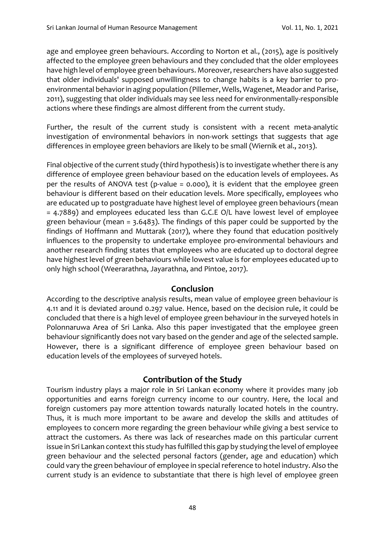age and employee green behaviours. According to Norton et al., (2015), age is positively affected to the employee green behaviours and they concluded that the older employees have high level of employee green behaviours. Moreover, researchers have also suggested that older individuals' supposed unwillingness to change habits is a key barrier to proenvironmental behavior in aging population (Pillemer, Wells, Wagenet, Meador and Parise, 2011), suggesting that older individuals may see less need for environmentally-responsible actions where these findings are almost different from the current study.

Further, the result of the current study is consistent with a recent meta-analytic investigation of environmental behaviors in non-work settings that suggests that age differences in employee green behaviors are likely to be small (Wiernik et al., 2013).

Final objective of the current study (third hypothesis) is to investigate whether there is any difference of employee green behaviour based on the education levels of employees. As per the results of ANOVA test (p-value = 0.000), it is evident that the employee green behaviour is different based on their education levels. More specifically, employees who are educated up to postgraduate have highest level of employee green behaviours (mean = 4.7889) and employees educated less than G.C.E O/L have lowest level of employee green behaviour (mean = 3.6483). The findings of this paper could be supported by the findings of Hoffmann and Muttarak (2017), where they found that education positively influences to the propensity to undertake employee pro-environmental behaviours and another research finding states that employees who are educated up to doctoral degree have highest level of green behaviours while lowest value is for employees educated up to only high school (Weerarathna, Jayarathna, and Pintoe, 2017).

### **Conclusion**

According to the descriptive analysis results, mean value of employee green behaviour is 4.11 and it is deviated around 0.297 value. Hence, based on the decision rule, it could be concluded that there is a high level of employee green behaviour in the surveyed hotels in Polonnaruwa Area of Sri Lanka. Also this paper investigated that the employee green behaviour significantly does not vary based on the gender and age of the selected sample. However, there is a significant difference of employee green behaviour based on education levels of the employees of surveyed hotels.

### **Contribution of the Study**

Tourism industry plays a major role in Sri Lankan economy where it provides many job opportunities and earns foreign currency income to our country. Here, the local and foreign customers pay more attention towards naturally located hotels in the country. Thus, it is much more important to be aware and develop the skills and attitudes of employees to concern more regarding the green behaviour while giving a best service to attract the customers. As there was lack of researches made on this particular current issue in Sri Lankan context this study has fulfilled this gap by studying the level of employee green behaviour and the selected personal factors (gender, age and education) which could vary the green behaviour of employee in special reference to hotel industry. Also the current study is an evidence to substantiate that there is high level of employee green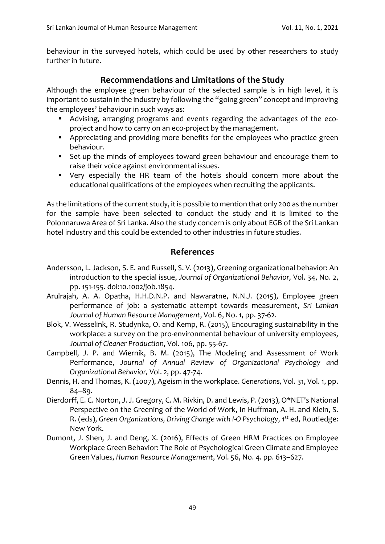behaviour in the surveyed hotels, which could be used by other researchers to study further in future.

### **Recommendations and Limitations of the Study**

Although the employee green behaviour of the selected sample is in high level, it is important to sustain in the industry by following the "going green" concept and improving the employees' behaviour in such ways as:

- Advising, arranging programs and events regarding the advantages of the ecoproject and how to carry on an eco-project by the management.
- Appreciating and providing more benefits for the employees who practice green behaviour.
- Set-up the minds of employees toward green behaviour and encourage them to raise their voice against environmental issues.
- Very especially the HR team of the hotels should concern more about the educational qualifications of the employees when recruiting the applicants.

As the limitations of the current study, it is possible to mention that only 200 as the number for the sample have been selected to conduct the study and it is limited to the Polonnaruwa Area of Sri Lanka. Also the study concern is only about EGB of the Sri Lankan hotel industry and this could be extended to other industries in future studies.

### **References**

- Andersson, L. Jackson, S. E. and Russell, S. V. (2013), Greening organizational behavior: An introduction to the special issue, *Journal of Organizational Behavior,* Vol. 34, No. 2, pp. 151-155. doi:10.1002/job.1854.
- Arulrajah, A. A. Opatha, H.H.D.N.P. and Nawaratne, N.N.J. (2015), [Employee green](http://scholar.google.com/scholar?cluster=9590934270017780038&hl=en&oi=scholarr)  [performance of job: a systematic attempt towards measurement,](http://scholar.google.com/scholar?cluster=9590934270017780038&hl=en&oi=scholarr) *Sri Lankan Journal of Human Resource Management*, Vol. 6, No. 1, pp. 37-62.
- Blok, V. Wesselink, R. Studynka, O. and Kemp, R. (2015), Encouraging sustainability in the workplace: a survey on the pro-environmental behaviour of university employees, *Journal of Cleaner Production*, Vol. 106, pp. 55-67.
- Campbell, J. P. and Wiernik, B. M. (2015), The Modeling and Assessment of Work Performance, *Journal of Annual Review of Organizational Psychology and Organizational Behavior,* Vol. *2*, pp. 47-74.
- Dennis, H. and Thomas, K. (2007), Ageism in the workplace. *Generations,* Vol. 31, Vol. 1, pp. 84–89.
- Dierdorff, E. C. Norton, J. J. Gregory, C. M. Rivkin, D. and Lewis, P. (2013), O\*NET's National Perspective on the Greening of the World of Work, In Huffman, A. H. and Klein, S. R. (eds), *Green Organizations, Driving Change with I-O Psychology*, 1<sup>st</sup> ed, Routledge: New York.
- Dumont, J. Shen, J. and Deng, X. (2016), Effects of Green HRM Practices on Employee Workplace Green Behavior: The Role of Psychological Green Climate and Employee Green Values, *Human Resource Management*, Vol. 56, No. 4. pp. 613–627.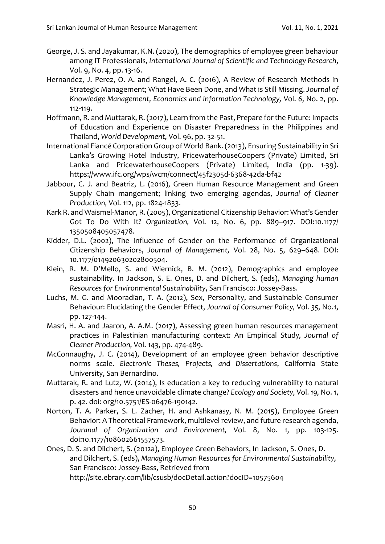- [George, J.](https://www.scopus.com/authid/detail.uri?authorId=57211961906&eid=2-s2.0-85083500730) S. and [Jayakumar, K.N.](https://www.scopus.com/authid/detail.uri?authorId=57211966018&eid=2-s2.0-85083500730) (2020), The demographics of employee green behaviour among IT Professionals, *[International Journal of Scientific and Technology Research](https://www.scopus.com/sourceid/21100894501?origin=recordpage)*, Vol. 9, No. 4, pp. 13-16.
- Hernandez, J. Perez, O. A. and Rangel, A. C. (2016), A Review of Research Methods in Strategic Management; What Have Been Done, and What is Still Missing. *Journal of Knowledge Management, Economics and Information Technology,* Vol. *6*, No. 2, pp. 112-119.
- Hoffmann, R. and Muttarak, R. (2017), Learn from the Past, Prepare for the Future: Impacts of Education and Experience on Disaster Preparedness in the Philippines and Thailand, *World Development,* Vol. 96, pp. 32-51.
- International Fiancé Corporation Group of World Bank. (2013), Ensuring Sustainability in Sri Lanka's Growing Hotel Industry, PricewaterhouseCoopers (Private) Limited, Sri Lanka and PricewaterhouseCoopers (Private) Limited, India (pp. 1-39). https://www.ifc.org/wps/wcm/connect/45f2305d-6368-42da-bf42
- Jabbour, C. J. and Beatriz, L. (2016), Green Human Resource Management and Green Supply Chain mangement; linking two emerging agendas, *Journal of Cleaner Production,* Vol. 112, pp. 1824-1833.
- Kark R. and Waismel-Manor, R. (2005), Organizational Citizenship Behavior: What's Gender Got To Do With It? *Organization,* Vol. 12, No. 6, pp. 889–917. DOI:10.1177/ 1350508405057478.
- Kidder, D.L. (2002), The Influence of Gender on the Performance of Organizational Citizenship Behaviors, *Journal of Management,* Vol. 28, No. 5, 629–648. DOI: 10.1177/014920630202800504.
- Klein, R. M. D'Mello, S. and Wiernick, B. M. (2012), Demographics and employee sustainability. In Jackson, S. E. Ones, D. and Dilchert, S. (eds), *Managing human Resources for Environmental Sustainability*, San Francisco: Jossey-Bass.
- Luchs, M. G. and Mooradian, T. A. (2012), Sex, Personality, and Sustainable Consumer Behaviour: Elucidating the Gender Effect, *Journal of Consumer Policy,* Vol. *35*, No.1, pp. 127-144.
- Masri, H. A. and Jaaron, A. A.M. (2017), Assessing green human resources management practices in Palestinian manufacturing context: An Empirical Study*, Journal of Cleaner Production,* Vol. 143, pp. 474-489.
- McConnaughy, J. C. (2014), Development of an employee green behavior descriptive norms scale. *Electronic Theses, Projects, and Dissertations*, California State University, San Bernardino.
- Muttarak, R. and Lutz, W. (2014), Is education a key to reducing vulnerability to natural disasters and hence unavoidable climate change? *Ecology and Society,* Vol. *19,* No. 1, p. 42. doi: org/10.5751/ES-06476-190142.
- Norton, T. A. Parker, S. L. Zacher, H. and Ashkanasy, N. M. (2015), Employee Green Behavior: A Theoretical Framework, multilevel review, and future research agenda, *Jouranal of Organization and Environment,* Vol. 8, No. 1, pp. 103-125. doi:10.1177/108602661557573.
- Ones, D. S. and Dilchert, S. (2012a), Employee Green Behaviors, In Jackson, S. Ones, D. and Dilchert, S. (eds), *Managing Human Resources for Environmental Sustainability,* San Francisco: Jossey-Bass, Retrieved from http://site.ebrary.com/lib/csusb/docDetail.action?docID=10575604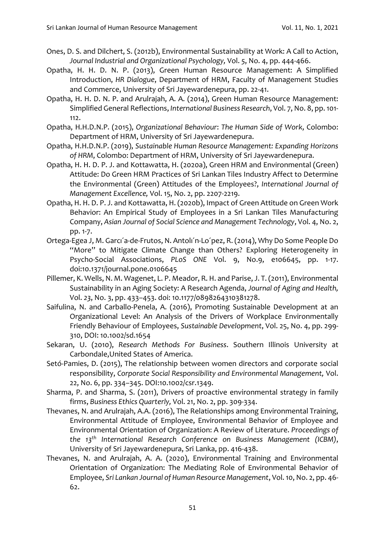- Ones, D. S. and Dilchert, S. (2012b), Environmental Sustainability at Work: A Call to Action, *Journal Industrial and Organizational Psychology,* Vol. *5*, No. 4, pp. 444-466.
- Opatha, H. H. D. N. P. (2013), Green Human Resource Management: A Simplified Introduction, *HR Dialogue*, Department of HRM, Faculty of Management Studies and Commerce, University of Sri Jayewardenepura, pp. 22-41.
- Opatha, H. H. D. N. P. and Arulrajah, A. A. (2014), Green Human Resource Management: Simplified General Reflections, *International Business Research*, Vol. 7, No. 8, pp. 101- 112.
- Opatha, H.H.D.N.P. (2015), *Organizational Behaviour*: *The Human Side of Work*, Colombo: Department of HRM, University of Sri Jayewardenepura.
- Opatha, H.H.D.N.P. (2019), *Sustainable Human Resource Management: Expanding Horizons of HRM*, Colombo: Department of HRM, University of Sri Jayewardenepura.
- Opatha, H. H. D. P. J. and Kottawatta, H. (2020a), Green HRM and Environmental (Green) Attitude: Do Green HRM Practices of Sri Lankan Tiles Industry Affect to Determine the Environmental (Green) Attitudes of the Employees?, *International Journal of Management Excellence,* Vol. 15, No. 2, pp. 2207-2219.
- Opatha, H. H. D. P. J. and Kottawatta, H. (2020b), [Impact of Green Attitude on Green Work](https://www.researchgate.net/profile/Hhd-Pooja-Jayani-Opatha/publication/342898563_Impact_of_Green_Attitude_on_Green_Work_Behavior_An_Empirical_Study_of_Employees_in_a_Sri_Lankan_Tiles_Manufacturing_Company/links/5f0c72c4a6fdcc2f32336e05/Impact-of-Green-Attitude-on-Green-Work-Behavior-An-Empirical-Study-of-Employees-in-a-Sri-Lankan-Tiles-Manufacturing-Company.pdf)  [Behavior: An Empirical Study of Employees in a Sri Lankan Tiles Manufacturing](https://www.researchgate.net/profile/Hhd-Pooja-Jayani-Opatha/publication/342898563_Impact_of_Green_Attitude_on_Green_Work_Behavior_An_Empirical_Study_of_Employees_in_a_Sri_Lankan_Tiles_Manufacturing_Company/links/5f0c72c4a6fdcc2f32336e05/Impact-of-Green-Attitude-on-Green-Work-Behavior-An-Empirical-Study-of-Employees-in-a-Sri-Lankan-Tiles-Manufacturing-Company.pdf)  [Company,](https://www.researchgate.net/profile/Hhd-Pooja-Jayani-Opatha/publication/342898563_Impact_of_Green_Attitude_on_Green_Work_Behavior_An_Empirical_Study_of_Employees_in_a_Sri_Lankan_Tiles_Manufacturing_Company/links/5f0c72c4a6fdcc2f32336e05/Impact-of-Green-Attitude-on-Green-Work-Behavior-An-Empirical-Study-of-Employees-in-a-Sri-Lankan-Tiles-Manufacturing-Company.pdf) *Asian Journal of Social Science and Management Technology*, Vol. 4, No. 2, pp. 1-7.
- Ortega-Egea J, M. Garcı´a-de-Frutos, N. Antolı´n-Lo´pez, R. (2014), Why Do Some People Do "More" to Mitigate Climate Change than Others? Exploring Heterogeneity in Psycho-Social Associations, *PLoS ONE* Vol. 9, No.9, e106645, pp. 1-17. doi:10.1371/journal.pone.0106645
- Pillemer, K. Wells, N. M. Wagenet, L. P. Meador, R. H. and Parise, J. T. (2011), Environmental Sustainability in an Aging Society: A Research Agenda, *Journal of Aging and Health,* Vol. *23*, No. 3, pp. 433–453. doi: 10.1177/0898264310381278.
- Saifulina, N. and Carballo-Penela, A. (2016), Promoting Sustainable Development at an Organizational Level: An Analysis of the Drivers of Workplace Environmentally Friendly Behaviour of Employees, *Sustainable Development*, Vol. 25, No. 4, pp. 299- 310, DOI: 10.1002/sd.1654
- Sekaran, U. (2010), *Research Methods For Business*. Southern Illinois University at Carbondale,United States of America.
- Setó-Pamies, D. (2015), The relationship between women directors and corporate social responsibility, *Corporate Social Responsibility and Environmental Management,* Vol. 22, No. 6, pp. 334–345. DOI:10.1002/csr.1349.
- Sharma, P. and Sharma, S. (2011), Drivers of proactive environmental strategy in family firms, *Business Ethics Quarterly,* Vol. 21, No. 2, pp. 309-334.
- Thevanes, N. and Arulrajah, A.A. (2016), The Relationships among Environmental Training, Environmental Attitude of Employee, Environmental Behavior of Employee and Environmental Orientation of Organization: A Review of Literature. *Proceedings of the 13th International Research Conference on Business Management (ICBM)*, University of Sri Jayewardenepura, Sri Lanka, pp. 416-438.
- Thevanes, N. and Arulrajah, A. A. (2020), Environmental Training and Environmental Orientation of Organization: The Mediating Role of Environmental Behavior of Employee, *Sri Lankan Journal of Human Resource Management*, Vol. 10, No. 2, pp. 46- 62.